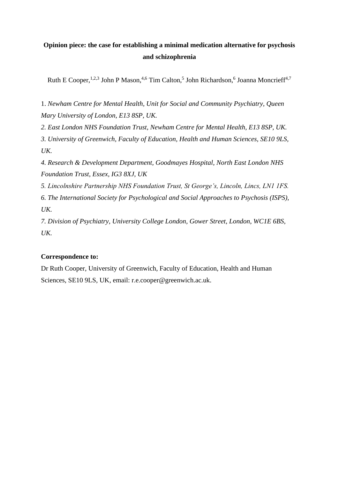# **Opinion piece: the case for establishing a minimal medication alternative for psychosis and schizophrenia**

Ruth E Cooper,<sup>1,2,3</sup> John P Mason,<sup>4,6</sup> Tim Calton,<sup>5</sup> John Richardson,<sup>6</sup> Joanna Moncrieff<sup>4,7</sup>

1. *Newham Centre for Mental Health, Unit for Social and Community Psychiatry, Queen Mary University of London, E13 8SP, UK.*

*2. East London NHS Foundation Trust, Newham Centre for Mental Health, E13 8SP, UK.*

*3. University of Greenwich, Faculty of Education, Health and Human Sciences, SE10 9LS, UK.* 

*4. Research & Development Department, Goodmayes Hospital, North East London NHS Foundation Trust, Essex, IG3 8XJ, UK*

*5. Lincolnshire Partnership NHS Foundation Trust, St George's, Lincoln, Lincs, LN1 1FS.*

*6. The International Society for Psychological and Social Approaches to Psychosis (ISPS), UK.*

*7. Division of Psychiatry, University College London, Gower Street, London, WC1E 6BS, UK.*

# **Correspondence to:**

Dr Ruth Cooper, University of Greenwich, Faculty of Education, Health and Human Sciences, SE10 9LS, UK, email: r.e.cooper@greenwich.ac.uk.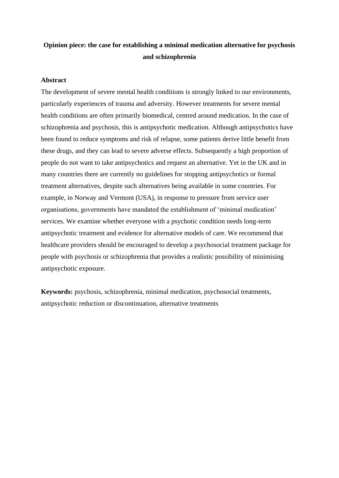# **Opinion piece: the case for establishing a minimal medication alternative for psychosis and schizophrenia**

## **Abstract**

The development of severe mental health conditions is strongly linked to our environments, particularly experiences of trauma and adversity. However treatments for severe mental health conditions are often primarily biomedical, centred around medication. In the case of schizophrenia and psychosis, this is antipsychotic medication. Although antipsychotics have been found to reduce symptoms and risk of relapse, some patients derive little benefit from these drugs, and they can lead to severe adverse effects. Subsequently a high proportion of people do not want to take antipsychotics and request an alternative. Yet in the UK and in many countries there are currently no guidelines for stopping antipsychotics or formal treatment alternatives, despite such alternatives being available in some countries. For example, in Norway and Vermont (USA), in response to pressure from service user organisations, governments have mandated the establishment of 'minimal medication' services. We examine whether everyone with a psychotic condition needs long-term antipsychotic treatment and evidence for alternative models of care. We recommend that healthcare providers should be encouraged to develop a psychosocial treatment package for people with psychosis or schizophrenia that provides a realistic possibility of minimising antipsychotic exposure.

**Keywords:** psychosis, schizophrenia, minimal medication, psychosocial treatments, antipsychotic reduction or discontinuation, alternative treatments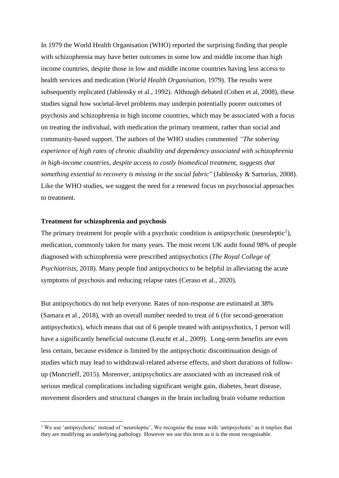In 1979 the World Health Organisation (WHO) reported the surprising finding that people with schizophrenia may have better outcomes in some low and middle income than high income countries, despite those in low and middle income countries having less access to health services and medication (*World Health Organisation*, 1979). The results were subsequently replicated (Jablensky et al., 1992). Although debated (Cohen et al, 2008), these studies signal how societal-level problems may underpin potentially poorer outcomes of psychosis and schizophrenia in high income countries, which may be associated with a focus on treating the individual, with medication the primary treatment, rather than social and community-based support. The authors of the WHO studies commented *"The sobering experience of high rates of chronic disability and dependency associated with schizophrenia in high-income countries, despite access to costly biomedical treatment, suggests that something essential to recovery is missing in the social fabric"* (Jablensky & Sartorius, 2008)*.* Like the WHO studies, we suggest the need for a renewed focus on psychosocial approaches to treatment.

### **Treatment for schizophrenia and psychosis**

The primary treatment for people with a psychotic condition is antipsychotic (neuroleptic<sup>1</sup>), medication, commonly taken for many years. The most recent UK audit found 98% of people diagnosed with schizophrenia were prescribed antipsychotics (*The Royal College of Psychiatrists*, 2018). Many people find antipsychotics to be helpful in alleviating the acute symptoms of psychosis and reducing relapse rates (Ceraso et al., 2020).

But antipsychotics do not help everyone. Rates of non-response are estimated at 38% (Samara et al., 2018), with an overall number needed to treat of 6 (for second-generation antipsychotics), which means that out of 6 people treated with antipsychotics, 1 person will have a significantly beneficial outcome (Leucht et al., 2009). Long-term benefits are even less certain, because evidence is limited by the antipsychotic discontinuation design of studies which may lead to withdrawal-related adverse effects, and short durations of followup (Moncrieff, 2015). Moreover, antipsychotics are associated with an increased risk of serious medical complications including significant weight gain, diabetes, heart disease, movement disorders and structural changes in the brain including brain volume reduction

<sup>&</sup>lt;sup>1</sup> We use 'antipsychotic' instead of 'neuroleptic', We recognise the issue with 'antipsychotic' as it implies that they are modifying an underlying pathology. However we use this term as it is the most recognisable.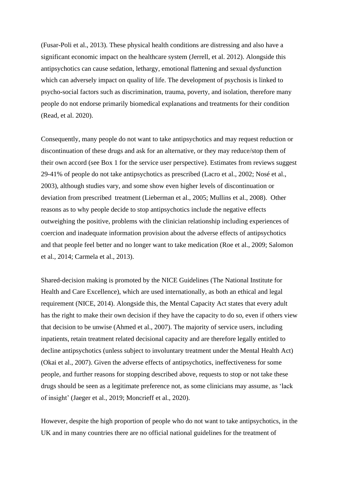(Fusar-Poli et al., 2013). These physical health conditions are distressing and also have a significant economic impact on the healthcare system (Jerrell, et al. 2012). Alongside this antipsychotics can cause sedation, lethargy, emotional flattening and sexual dysfunction which can adversely impact on quality of life. The development of psychosis is linked to psycho-social factors such as discrimination, trauma, poverty, and isolation, therefore many people do not endorse primarily biomedical explanations and treatments for their condition (Read, et al. 2020).

Consequently, many people do not want to take antipsychotics and may request reduction or discontinuation of these drugs and ask for an alternative, or they may reduce/stop them of their own accord (see Box 1 for the service user perspective). Estimates from reviews suggest 29-41% of people do not take antipsychotics as prescribed (Lacro et al., 2002; Nosé et al., 2003), although studies vary, and some show even higher levels of discontinuation or deviation from prescribed treatment (Lieberman et al., 2005; Mullins et al., 2008). Other reasons as to why people decide to stop antipsychotics include the negative effects outweighing the positive, problems with the clinician relationship including experiences of coercion and inadequate information provision about the adverse effects of antipsychotics and that people feel better and no longer want to take medication (Roe et al., 2009; Salomon et al., 2014; Carmela et al., 2013).

Shared-decision making is promoted by the NICE Guidelines (The National Institute for Health and Care Excellence), which are used internationally, as both an ethical and legal requirement (NICE, 2014). Alongside this, the Mental Capacity Act states that every adult has the right to make their own decision if they have the capacity to do so, even if others view that decision to be unwise (Ahmed et al., 2007). The majority of service users, including inpatients, retain treatment related decisional capacity and are therefore legally entitled to decline antipsychotics (unless subject to involuntary treatment under the Mental Health Act) (Okai et al., 2007). Given the adverse effects of antipsychotics, ineffectiveness for some people, and further reasons for stopping described above, requests to stop or not take these drugs should be seen as a legitimate preference not, as some clinicians may assume, as 'lack of insight' (Jaeger et al., 2019; Moncrieff et al., 2020).

However, despite the high proportion of people who do not want to take antipsychotics, in the UK and in many countries there are no official national guidelines for the treatment of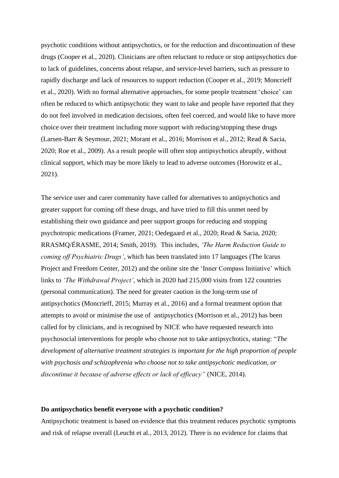psychotic conditions without antipsychotics, or for the reduction and discontinuation of these drugs (Cooper et al., 2020). Clinicians are often reluctant to reduce or stop antipsychotics due to lack of guidelines, concerns about relapse, and service-level barriers, such as pressure to rapidly discharge and lack of resources to support reduction (Cooper et al., 2019; Moncrieff et al., 2020). With no formal alternative approaches, for some people treatment 'choice' can often be reduced to which antipsychotic they want to take and people have reported that they do not feel involved in medication decisions, often feel coerced, and would like to have more choice over their treatment including more support with reducing/stopping these drugs (Larsen-Barr & Seymour, 2021; Morant et al., 2016; Morrison et al., 2012; Read & Sacia, 2020; Roe et al., 2009). As a result people will often stop antipsychotics abruptly, without clinical support, which may be more likely to lead to adverse outcomes (Horowitz et al., 2021).

The service user and carer community have called for alternatives to antipsychotics and greater support for coming off these drugs, and have tried to fill this unmet need by establishing their own guidance and peer support groups for reducing and stopping psychotropic medications (Framer, 2021; Oedegaard et al., 2020; Read & Sacia, 2020; RRASMQ/ÉRASME, 2014; Smith, 2019). This includes, *'The Harm Reduction Guide to coming off Psychiatric Drugs'*, which has been translated into 17 languages (The Icarus Project and Freedom Center, 2012) and the online site the 'Inner Compass Initiative' which links to *'The Withdrawal Project'*, which in 2020 had 215,000 visits from 122 countries (personal communication). The need for greater caution in the long-term use of antipsychotics (Moncrieff, 2015; Murray et al., 2016) and a formal treatment option that attempts to avoid or minimise the use of antipsychotics (Morrison et al., 2012) has been called for by clinicians, and is recognised by NICE who have requested research into psychosocial interventions for people who choose not to take antipsychotics, stating: "*The development of alternative treatment strategies is important for the high proportion of people with psychosis and schizophrenia who choose not to take antipsychotic medication, or discontinue it because of adverse effects or lack of efficacy"* (NICE, 2014).

#### **Do antipsychotics benefit everyone with a psychotic condition?**

Antipsychotic treatment is based on evidence that this treatment reduces psychotic symptoms and risk of relapse overall (Leucht et al., 2013, 2012). There is no evidence for claims that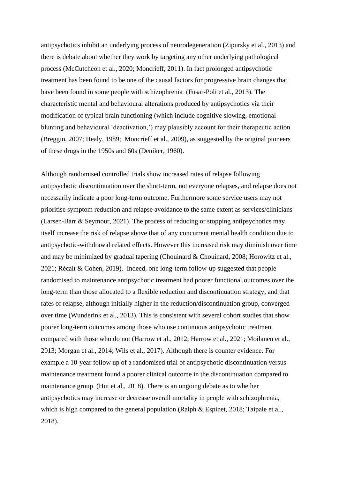antipsychotics inhibit an underlying process of neurodegeneration (Zipursky et al., 2013) and there is debate about whether they work by targeting any other underlying pathological process (McCutcheon et al., 2020; Moncrieff, 2011). In fact prolonged antipsychotic treatment has been found to be one of the causal factors for progressive brain changes that have been found in some people with schizophrenia (Fusar-Poli et al., 2013). The characteristic mental and behavioural alterations produced by antipsychotics via their modification of typical brain functioning (which include cognitive slowing, emotional blunting and behavioural 'deactivation,') may plausibly account for their therapeutic action (Breggin, 2007; Healy, 1989; Moncrieff et al., 2009), as suggested by the original pioneers of these drugs in the 1950s and 60s (Deniker, 1960).

Although randomised controlled trials show increased rates of relapse following antipsychotic discontinuation over the short-term, not everyone relapses, and relapse does not necessarily indicate a poor long-term outcome. Furthermore some service users may not prioritise symptom reduction and relapse avoidance to the same extent as services/clinicians (Larsen-Barr & Seymour, 2021). The process of reducing or stopping antipsychotics may itself increase the risk of relapse above that of any concurrent mental health condition due to antipsychotic-withdrawal related effects. However this increased risk may diminish over time and may be minimized by gradual tapering (Chouinard & Chouinard, 2008; Horowitz et al., 2021; Récalt & Cohen, 2019). Indeed, one long-term follow-up suggested that people randomised to maintenance antipsychotic treatment had poorer functional outcomes over the long-term than those allocated to a flexible reduction and discontinuation strategy, and that rates of relapse, although initially higher in the reduction/discontinuation group, converged over time (Wunderink et al., 2013). This is consistent with several cohort studies that show poorer long-term outcomes among those who use continuous antipsychotic treatment compared with those who do not (Harrow et al., 2012; Harrow et al., 2021; Moilanen et al., 2013; Morgan et al., 2014; Wils et al., 2017). Although there is counter evidence. For example a 10-year follow up of a randomised trial of antipsychotic discontinuation versus maintenance treatment found a poorer clinical outcome in the discontinuation compared to maintenance group (Hui et al., 2018). There is an ongoing debate as to whether antipsychotics may increase or decrease overall mortality in people with schizophrenia, which is high compared to the general population (Ralph & Espinet, 2018; Taipale et al., 2018).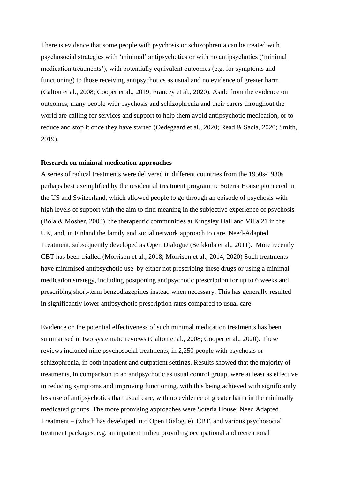There is evidence that some people with psychosis or schizophrenia can be treated with psychosocial strategies with 'minimal' antipsychotics or with no antipsychotics ('minimal medication treatments'), with potentially equivalent outcomes (e.g. for symptoms and functioning) to those receiving antipsychotics as usual and no evidence of greater harm (Calton et al., 2008; Cooper et al., 2019; Francey et al., 2020). Aside from the evidence on outcomes, many people with psychosis and schizophrenia and their carers throughout the world are calling for services and support to help them avoid antipsychotic medication, or to reduce and stop it once they have started (Oedegaard et al., 2020; Read & Sacia, 2020; Smith, 2019).

#### **Research on minimal medication approaches**

A series of radical treatments were delivered in different countries from the 1950s-1980s perhaps best exemplified by the residential treatment programme Soteria House pioneered in the US and Switzerland, which allowed people to go through an episode of psychosis with high levels of support with the aim to find meaning in the subjective experience of psychosis (Bola & Mosher, 2003), the therapeutic communities at Kingsley Hall and Villa 21 in the UK, and, in Finland the family and social network approach to care, Need-Adapted Treatment, subsequently developed as Open Dialogue (Seikkula et al., 2011). More recently CBT has been trialled (Morrison et al., 2018; Morrison et al., 2014, 2020) Such treatments have minimised antipsychotic use by either not prescribing these drugs or using a minimal medication strategy, including postponing antipsychotic prescription for up to 6 weeks and prescribing short-term benzodiazepines instead when necessary. This has generally resulted in significantly lower antipsychotic prescription rates compared to usual care.

Evidence on the potential effectiveness of such minimal medication treatments has been summarised in two systematic reviews (Calton et al., 2008; Cooper et al., 2020). These reviews included nine psychosocial treatments, in 2,250 people with psychosis or schizophrenia, in both inpatient and outpatient settings. Results showed that the majority of treatments, in comparison to an antipsychotic as usual control group, were at least as effective in reducing symptoms and improving functioning, with this being achieved with significantly less use of antipsychotics than usual care, with no evidence of greater harm in the minimally medicated groups. The more promising approaches were Soteria House; Need Adapted Treatment – (which has developed into Open Dialogue), CBT, and various psychosocial treatment packages, e.g. an inpatient milieu providing occupational and recreational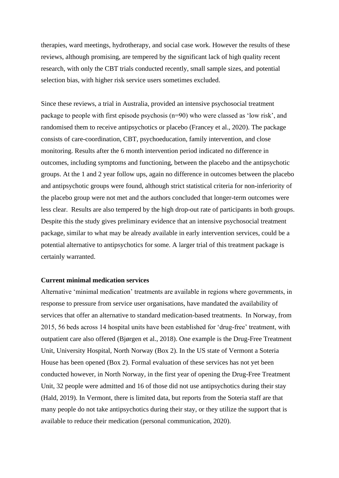therapies, ward meetings, hydrotherapy, and social case work. However the results of these reviews, although promising, are tempered by the significant lack of high quality recent research, with only the CBT trials conducted recently, small sample sizes, and potential selection bias, with higher risk service users sometimes excluded.

Since these reviews, a trial in Australia, provided an intensive psychosocial treatment package to people with first episode psychosis (n=90) who were classed as 'low risk', and randomised them to receive antipsychotics or placebo (Francey et al., 2020). The package consists of care-coordination, CBT, psychoeducation, family intervention, and close monitoring. Results after the 6 month intervention period indicated no difference in outcomes, including symptoms and functioning, between the placebo and the antipsychotic groups. At the 1 and 2 year follow ups, again no difference in outcomes between the placebo and antipsychotic groups were found, although strict statistical criteria for non-inferiority of the placebo group were not met and the authors concluded that longer-term outcomes were less clear. Results are also tempered by the high drop-out rate of participants in both groups. Despite this the study gives preliminary evidence that an intensive psychosocial treatment package, similar to what may be already available in early intervention services, could be a potential alternative to antipsychotics for some. A larger trial of this treatment package is certainly warranted.

## **Current minimal medication services**

Alternative 'minimal medication' treatments are available in regions where governments, in response to pressure from service user organisations, have mandated the availability of services that offer an alternative to standard medication-based treatments. In Norway, from 2015, 56 beds across 14 hospital units have been established for 'drug-free' treatment, with outpatient care also offered (Bjørgen et al., 2018). One example is the Drug-Free Treatment Unit, University Hospital, North Norway (Box 2). In the US state of Vermont a Soteria House has been opened (Box 2). Formal evaluation of these services has not yet been conducted however, in North Norway, in the first year of opening the Drug-Free Treatment Unit, 32 people were admitted and 16 of those did not use antipsychotics during their stay (Hald, 2019). In Vermont, there is limited data, but reports from the Soteria staff are that many people do not take antipsychotics during their stay, or they utilize the support that is available to reduce their medication (personal communication, 2020).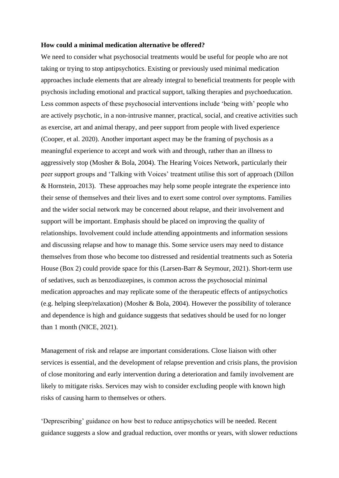#### **How could a minimal medication alternative be offered?**

We need to consider what psychosocial treatments would be useful for people who are not taking or trying to stop antipsychotics. Existing or previously used minimal medication approaches include elements that are already integral to beneficial treatments for people with psychosis including emotional and practical support, talking therapies and psychoeducation. Less common aspects of these psychosocial interventions include 'being with' people who are actively psychotic, in a non-intrusive manner, practical, social, and creative activities such as exercise, art and animal therapy, and peer support from people with lived experience (Cooper, et al. 2020). Another important aspect may be the framing of psychosis as a meaningful experience to accept and work with and through, rather than an illness to aggressively stop (Mosher & Bola, 2004). The Hearing Voices Network, particularly their peer support groups and 'Talking with Voices' treatment utilise this sort of approach (Dillon & Hornstein, 2013). These approaches may help some people integrate the experience into their sense of themselves and their lives and to exert some control over symptoms. Families and the wider social network may be concerned about relapse, and their involvement and support will be important. Emphasis should be placed on improving the quality of relationships. Involvement could include attending appointments and information sessions and discussing relapse and how to manage this. Some service users may need to distance themselves from those who become too distressed and residential treatments such as Soteria House (Box 2) could provide space for this (Larsen-Barr & Seymour, 2021). Short-term use of sedatives, such as benzodiazepines, is common across the psychosocial minimal medication approaches and may replicate some of the therapeutic effects of antipsychotics (e.g. helping sleep/relaxation) (Mosher & Bola, 2004). However the possibility of tolerance and dependence is high and guidance suggests that sedatives should be used for no longer than 1 month (NICE, 2021).

Management of risk and relapse are important considerations. Close liaison with other services is essential, and the development of relapse prevention and crisis plans, the provision of close monitoring and early intervention during a deterioration and family involvement are likely to mitigate risks. Services may wish to consider excluding people with known high risks of causing harm to themselves or others.

'Deprescribing' guidance on how best to reduce antipsychotics will be needed. Recent guidance suggests a slow and gradual reduction, over months or years, with slower reductions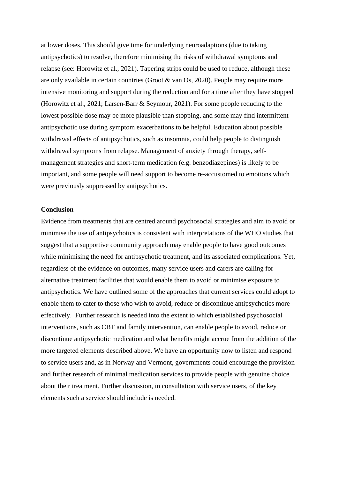at lower doses. This should give time for underlying neuroadaptions (due to taking antipsychotics) to resolve, therefore minimising the risks of withdrawal symptoms and relapse (see: Horowitz et al., 2021). Tapering strips could be used to reduce, although these are only available in certain countries (Groot & van Os, 2020). People may require more intensive monitoring and support during the reduction and for a time after they have stopped (Horowitz et al., 2021; Larsen-Barr & Seymour, 2021). For some people reducing to the lowest possible dose may be more plausible than stopping, and some may find intermittent antipsychotic use during symptom exacerbations to be helpful. Education about possible withdrawal effects of antipsychotics, such as insomnia, could help people to distinguish withdrawal symptoms from relapse. Management of anxiety through therapy, selfmanagement strategies and short-term medication (e.g. benzodiazepines) is likely to be important, and some people will need support to become re-accustomed to emotions which were previously suppressed by antipsychotics.

## **Conclusion**

Evidence from treatments that are centred around psychosocial strategies and aim to avoid or minimise the use of antipsychotics is consistent with interpretations of the WHO studies that suggest that a supportive community approach may enable people to have good outcomes while minimising the need for antipsychotic treatment, and its associated complications. Yet, regardless of the evidence on outcomes, many service users and carers are calling for alternative treatment facilities that would enable them to avoid or minimise exposure to antipsychotics. We have outlined some of the approaches that current services could adopt to enable them to cater to those who wish to avoid, reduce or discontinue antipsychotics more effectively. Further research is needed into the extent to which established psychosocial interventions, such as CBT and family intervention, can enable people to avoid, reduce or discontinue antipsychotic medication and what benefits might accrue from the addition of the more targeted elements described above. We have an opportunity now to listen and respond to service users and, as in Norway and Vermont, governments could encourage the provision and further research of minimal medication services to provide people with genuine choice about their treatment. Further discussion, in consultation with service users, of the key elements such a service should include is needed.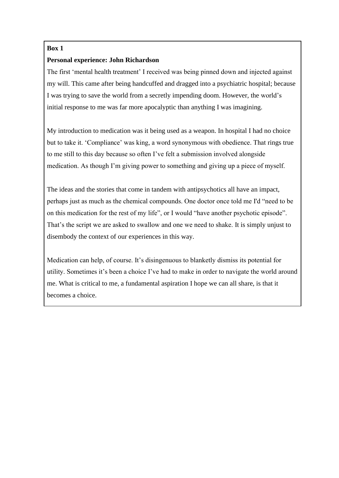# **Box 1**

# **Personal experience: John Richardson**

The first 'mental health treatment' I received was being pinned down and injected against my will. This came after being handcuffed and dragged into a psychiatric hospital; because I was trying to save the world from a secretly impending doom. However, the world's initial response to me was far more apocalyptic than anything I was imagining.

My introduction to medication was it being used as a weapon. In hospital I had no choice but to take it. 'Compliance' was king, a word synonymous with obedience. That rings true to me still to this day because so often I've felt a submission involved alongside medication. As though I'm giving power to something and giving up a piece of myself.

The ideas and the stories that come in tandem with antipsychotics all have an impact, perhaps just as much as the chemical compounds. One doctor once told me I'd "need to be on this medication for the rest of my life", or I would "have another psychotic episode". That's the script we are asked to swallow and one we need to shake. It is simply unjust to disembody the context of our experiences in this way.

Medication can help, of course. It's disingenuous to blanketly dismiss its potential for utility. Sometimes it's been a choice I've had to make in order to navigate the world around me. What is critical to me, a fundamental aspiration I hope we can all share, is that it becomes a choice.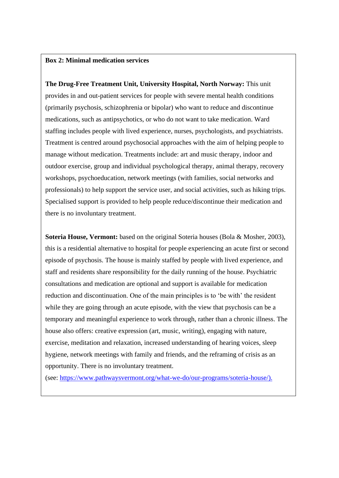# **Box 2: Minimal medication services**

**The Drug-Free Treatment Unit, University Hospital, North Norway:** This unit provides in and out-patient services for people with severe mental health conditions (primarily psychosis, schizophrenia or bipolar) who want to reduce and discontinue medications, such as antipsychotics, or who do not want to take medication. Ward staffing includes people with lived experience, nurses, psychologists, and psychiatrists. Treatment is centred around psychosocial approaches with the aim of helping people to manage without medication. Treatments include: art and music therapy, indoor and outdoor exercise, group and individual psychological therapy, animal therapy, recovery workshops, psychoeducation, network meetings (with families, social networks and professionals) to help support the service user, and social activities, such as hiking trips. Specialised support is provided to help people reduce/discontinue their medication and there is no involuntary treatment.

**Soteria House, Vermont:** based on the original Soteria houses (Bola & Mosher, 2003), this is a residential alternative to hospital for people experiencing an acute first or second episode of psychosis. The house is mainly staffed by people with lived experience, and staff and residents share responsibility for the daily running of the house. Psychiatric consultations and medication are optional and support is available for medication reduction and discontinuation. One of the main principles is to 'be with' the resident while they are going through an acute episode, with the view that psychosis can be a temporary and meaningful experience to work through, rather than a chronic illness. The house also offers: creative expression (art, music, writing), engaging with nature, exercise, meditation and relaxation, increased understanding of hearing voices, sleep hygiene, network meetings with family and friends, and the reframing of crisis as an opportunity. There is no involuntary treatment.

(see: [https://www.pathwaysvermont.org/what-we-do/our-programs/soteria-house/\)](https://www.pathwaysvermont.org/what-we-do/our-programs/soteria-house/).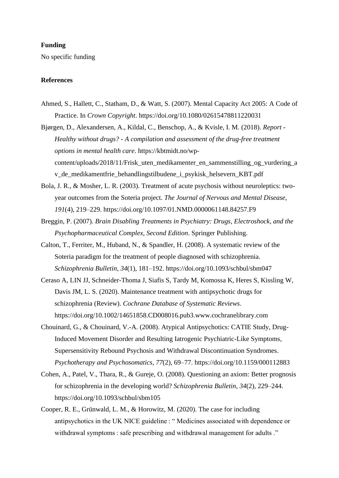## **Funding**

No specific funding

## **References**

Ahmed, S., Hallett, C., Statham, D., & Watt, S. (2007). Mental Capacity Act 2005: A Code of Practice. In *Crown Copyright*. https://doi.org/10.1080/02615478811220031

Bjørgen, D., Alexandersen, A., Kildal, C., Benschop, A., & Kvisle, I. M. (2018). *Report - Healthy without drugs? - A compilation and assessment of the drug-free treatment options in mental health care*. https://kbtmidt.no/wpcontent/uploads/2018/11/Frisk\_uten\_medikamenter\_en\_sammenstilling\_og\_vurdering\_a v\_de\_medikamentfrie\_behandlingstilbudene\_i\_psykisk\_helsevern\_KBT.pdf

- Bola, J. R., & Mosher, L. R. (2003). Treatment of acute psychosis without neuroleptics: twoyear outcomes from the Soteria project. *The Journal of Nervous and Mental Disease*, *191*(4), 219–229. https://doi.org/10.1097/01.NMD.0000061148.84257.F9
- Breggin, P. (2007). *Brain Disabling Treatments in Psychiatry: Drugs, Electroshock, and the Psychopharmaceutical Complex, Second Edition*. Springer Publishing.
- Calton, T., Ferriter, M., Huband, N., & Spandler, H. (2008). A systematic review of the Soteria paradigm for the treatment of people diagnosed with schizophrenia. *Schizophrenia Bulletin*, *34*(1), 181–192. https://doi.org/10.1093/schbul/sbm047
- Ceraso A, LIN JJ, Schneider-Thoma J, Siafis S, Tardy M, Komossa K, Heres S, Kissling W, Davis JM, L. S. (2020). Maintenance treatment with antipsychotic drugs for schizophrenia (Review). *Cochrane Database of Systematic Reviews*. https://doi.org/10.1002/14651858.CD008016.pub3.www.cochranelibrary.com
- Chouinard, G., & Chouinard, V.-A. (2008). Atypical Antipsychotics: CATIE Study, Drug-Induced Movement Disorder and Resulting Iatrogenic Psychiatric-Like Symptoms, Supersensitivity Rebound Psychosis and Withdrawal Discontinuation Syndromes. *Psychotherapy and Psychosomatics*, *77*(2), 69–77. https://doi.org/10.1159/000112883
- Cohen, A., Patel, V., Thara, R., & Gureje, O. (2008). Questioning an axiom: Better prognosis for schizophrenia in the developing world? *Schizophrenia Bulletin*, *34*(2), 229–244. https://doi.org/10.1093/schbul/sbm105
- Cooper, R. E., Grünwald, L. M., & Horowitz, M. (2020). The case for including antipsychotics in the UK NICE guideline : " Medicines associated with dependence or withdrawal symptoms : safe prescribing and withdrawal management for adults ."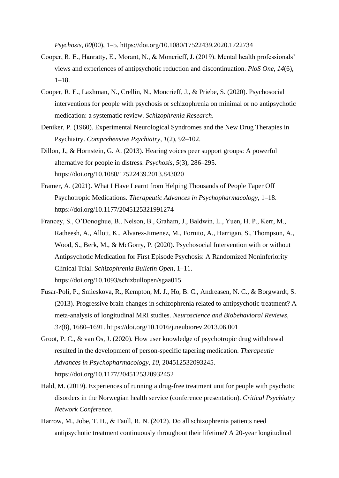*Psychosis*, *00*(00), 1–5. https://doi.org/10.1080/17522439.2020.1722734

- Cooper, R. E., Hanratty, E., Morant, N., & Moncrieff, J. (2019). Mental health professionals' views and experiences of antipsychotic reduction and discontinuation. *PloS One*, *14*(6), 1–18.
- Cooper, R. E., Laxhman, N., Crellin, N., Moncrieff, J., & Priebe, S. (2020). Psychosocial interventions for people with psychosis or schizophrenia on minimal or no antipsychotic medication: a systematic review. *Schizophrenia Research*.
- Deniker, P. (1960). Experimental Neurological Syndromes and the New Drug Therapies in Psychiatry. *Comprehensive Psychiatry*, *1*(2), 92–102.
- Dillon, J., & Hornstein, G. A. (2013). Hearing voices peer support groups: A powerful alternative for people in distress. *Psychosis*, *5*(3), 286–295. https://doi.org/10.1080/17522439.2013.843020
- Framer, A. (2021). What I Have Learnt from Helping Thousands of People Taper Off Psychotropic Medications. *Therapeutic Advances in Psychopharmacology*, 1–18. https://doi.org/10.1177/2045125321991274
- Francey, S., O'Donoghue, B., Nelson, B., Graham, J., Baldwin, L., Yuen, H. P., Kerr, M., Ratheesh, A., Allott, K., Alvarez-Jimenez, M., Fornito, A., Harrigan, S., Thompson, A., Wood, S., Berk, M., & McGorry, P. (2020). Psychosocial Intervention with or without Antipsychotic Medication for First Episode Psychosis: A Randomized Noninferiority Clinical Trial. *Schizophrenia Bulletin Open*, 1–11. https://doi.org/10.1093/schizbullopen/sgaa015
- Fusar-Poli, P., Smieskova, R., Kempton, M. J., Ho, B. C., Andreasen, N. C., & Borgwardt, S. (2013). Progressive brain changes in schizophrenia related to antipsychotic treatment? A meta-analysis of longitudinal MRI studies. *Neuroscience and Biobehavioral Reviews*, *37*(8), 1680–1691. https://doi.org/10.1016/j.neubiorev.2013.06.001
- Groot, P. C., & van Os, J. (2020). How user knowledge of psychotropic drug withdrawal resulted in the development of person-specific tapering medication. *Therapeutic Advances in Psychopharmacology*, *10*, 204512532093245. https://doi.org/10.1177/2045125320932452
- Hald, M. (2019). Experiences of running a drug-free treatment unit for people with psychotic disorders in the Norwegian health service (conference presentation). *Critical Psychiatry Network Conference*.
- Harrow, M., Jobe, T. H., & Faull, R. N. (2012). Do all schizophrenia patients need antipsychotic treatment continuously throughout their lifetime? A 20-year longitudinal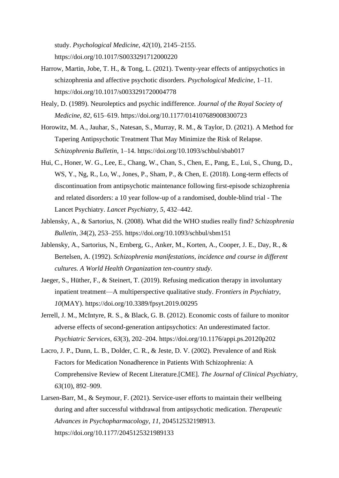study. *Psychological Medicine*, *42*(10), 2145–2155. https://doi.org/10.1017/S0033291712000220

- Harrow, Martin, Jobe, T. H., & Tong, L. (2021). Twenty-year effects of antipsychotics in schizophrenia and affective psychotic disorders. *Psychological Medicine*, 1–11. https://doi.org/10.1017/s0033291720004778
- Healy, D. (1989). Neuroleptics and psychic indifference. *Journal of the Royal Society of Medicine*, *82*, 615–619. https://doi.org/10.1177/014107689008300723
- Horowitz, M. A., Jauhar, S., Natesan, S., Murray, R. M., & Taylor, D. (2021). A Method for Tapering Antipsychotic Treatment That May Minimize the Risk of Relapse. *Schizophrenia Bulletin*, 1–14. https://doi.org/10.1093/schbul/sbab017
- Hui, C., Honer, W. G., Lee, E., Chang, W., Chan, S., Chen, E., Pang, E., Lui, S., Chung, D., WS, Y., Ng, R., Lo, W., Jones, P., Sham, P., & Chen, E. (2018). Long-term effects of discontinuation from antipsychotic maintenance following first-episode schizophrenia and related disorders: a 10 year follow-up of a randomised, double-blind trial - The Lancet Psychiatry. *Lancet Psychiatry*, *5*, 432–442.
- Jablensky, A., & Sartorius, N. (2008). What did the WHO studies really find? *Schizophrenia Bulletin*, *34*(2), 253–255. https://doi.org/10.1093/schbul/sbm151
- Jablensky, A., Sartorius, N., Ernberg, G., Anker, M., Korten, A., Cooper, J. E., Day, R., & Bertelsen, A. (1992). *Schizophrenia manifestations, incidence and course in different cultures. A World Health Organization ten-country study*.
- Jaeger, S., Hüther, F., & Steinert, T. (2019). Refusing medication therapy in involuntary inpatient treatment—A multiperspective qualitative study. *Frontiers in Psychiatry*, *10*(MAY). https://doi.org/10.3389/fpsyt.2019.00295
- Jerrell, J. M., McIntyre, R. S., & Black, G. B. (2012). Economic costs of failure to monitor adverse effects of second-generation antipsychotics: An underestimated factor. *Psychiatric Services*, *63*(3), 202–204. https://doi.org/10.1176/appi.ps.20120p202
- Lacro, J. P., Dunn, L. B., Dolder, C. R., & Jeste, D. V. (2002). Prevalence of and Risk Factors for Medication Nonadherence in Patients With Schizophrenia: A Comprehensive Review of Recent Literature.[CME]. *The Journal of Clinical Psychiatry*, *63*(10), 892–909.
- Larsen-Barr, M., & Seymour, F. (2021). Service-user efforts to maintain their wellbeing during and after successful withdrawal from antipsychotic medication. *Therapeutic Advances in Psychopharmacology*, *11*, 204512532198913. https://doi.org/10.1177/2045125321989133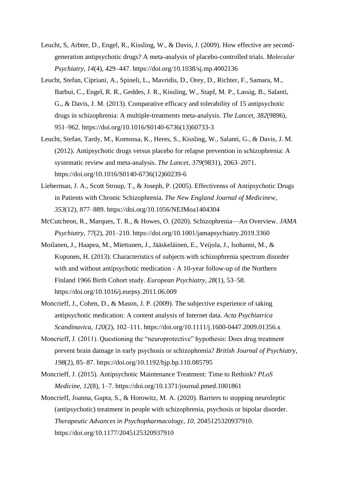- Leucht, S, Arbter, D., Engel, R., Kissling, W., & Davis, J. (2009). How effective are secondgeneration antipsychotic drugs? A meta-analysis of placebo-controlled trials. *Molecular Psychiatry*, *14*(4), 429–447. https://doi.org/10.1038/sj.mp.4002136
- Leucht, Stefan, Cipriani, A., Spineli, L., Mavridis, D., Orey, D., Richter, F., Samara, M., Barbui, C., Engel, R. R., Geddes, J. R., Kissling, W., Stapf, M. P., Lassig, B., Salanti, G., & Davis, J. M. (2013). Comparative efficacy and tolerability of 15 antipsychotic drugs in schizophrenia: A multiple-treatments meta-analysis. *The Lancet*, *382*(9896), 951–962. https://doi.org/10.1016/S0140-6736(13)60733-3
- Leucht, Stefan, Tardy, M., Komossa, K., Heres, S., Kissling, W., Salanti, G., & Davis, J. M. (2012). Antipsychotic drugs versus placebo for relapse prevention in schizophrenia: A systematic review and meta-analysis. *The Lancet*, *379*(9831), 2063–2071. https://doi.org/10.1016/S0140-6736(12)60239-6
- Lieberman, J. A., Scott Stroup, T., & Joseph, P. (2005). Effectivenss of Antipsychotic Drugs in Patients with Chronic Schizophrenia. *The New England Journal of Medicinew*, *353*(12), 877–889. https://doi.org/10.1056/NEJMoa1404304
- McCutcheon, R., Marques, T. R., & Howes, O. (2020). Schizophrenia—An Overview. *JAMA Psychiatry*, *77*(2), 201–210. https://doi.org/10.1001/jamapsychiatry.2019.3360
- Moilanen, J., Haapea, M., Miettunen, J., Jääskeläinen, E., Veijola, J., Isohanni, M., & Koponen, H. (2013). Characteristics of subjects with schizophrenia spectrum disorder with and without antipsychotic medication - A 10-year follow-up of the Northern Finland 1966 Birth Cohort study. *European Psychiatry*, *28*(1), 53–58. https://doi.org/10.1016/j.eurpsy.2011.06.009
- Moncrieff, J., Cohen, D., & Mason, J. P. (2009). The subjective experience of taking antipsychotic medication: A content analysis of Internet data. *Acta Psychiatrica Scandinavica*, *120*(2), 102–111. https://doi.org/10.1111/j.1600-0447.2009.01356.x
- Moncrieff, J. (2011). Questioning the "neuroprotective" hypothesis: Does drug treatment prevent brain damage in early psychosis or schizophrenia? *British Journal of Psychiatry*, *198*(2), 85–87. https://doi.org/10.1192/bjp.bp.110.085795
- Moncrieff, J. (2015). Antipsychotic Maintenance Treatment: Time to Rethink? *PLoS Medicine*, *12*(8), 1–7. https://doi.org/10.1371/journal.pmed.1001861
- Moncrieff, Joanna, Gupta, S., & Horowitz, M. A. (2020). Barriers to stopping neuroleptic (antipsychotic) treatment in people with schizophrenia, psychosis or bipolar disorder. *Therapeutic Advances in Psychopharmacology*, *10*, 2045125320937910. https://doi.org/10.1177/2045125320937910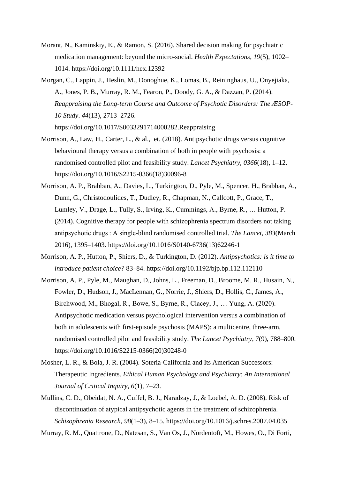- Morant, N., Kaminskiy, E., & Ramon, S. (2016). Shared decision making for psychiatric medication management: beyond the micro-social. *Health Expectations*, *19*(5), 1002– 1014. https://doi.org/10.1111/hex.12392
- Morgan, C., Lappin, J., Heslin, M., Donoghue, K., Lomas, B., Reininghaus, U., Onyejiaka, A., Jones, P. B., Murray, R. M., Fearon, P., Doody, G. A., & Dazzan, P. (2014). *Reappraising the Long-term Course and Outcome of Psychotic Disorders: The ÆSOP-10 Study*. *44*(13), 2713–2726.

https://doi.org/10.1017/S0033291714000282.Reappraising

- Morrison, A., Law, H., Carter, L., & al., et. (2018). Antipsychotic drugs versus cognitive behavioural therapy versus a combination of both in people with psychosis: a randomised controlled pilot and feasibility study. *Lancet Psychiatry*, *0366*(18), 1–12. https://doi.org/10.1016/S2215-0366(18)30096-8
- Morrison, A. P., Brabban, A., Davies, L., Turkington, D., Pyle, M., Spencer, H., Brabban, A., Dunn, G., Christodoulides, T., Dudley, R., Chapman, N., Callcott, P., Grace, T., Lumley, V., Drage, L., Tully, S., Irving, K., Cummings, A., Byrne, R., … Hutton, P. (2014). Cognitive therapy for people with schizophrenia spectrum disorders not taking antipsychotic drugs : A single-blind randomised controlled trial. *The Lancet*, *383*(March 2016), 1395–1403. https://doi.org/10.1016/S0140-6736(13)62246-1
- Morrison, A. P., Hutton, P., Shiers, D., & Turkington, D. (2012). *Antipsychotics: is it time to introduce patient choice?* 83–84. https://doi.org/10.1192/bjp.bp.112.112110
- Morrison, A. P., Pyle, M., Maughan, D., Johns, L., Freeman, D., Broome, M. R., Husain, N., Fowler, D., Hudson, J., MacLennan, G., Norrie, J., Shiers, D., Hollis, C., James, A., Birchwood, M., Bhogal, R., Bowe, S., Byrne, R., Clacey, J., … Yung, A. (2020). Antipsychotic medication versus psychological intervention versus a combination of both in adolescents with first-episode psychosis (MAPS): a multicentre, three-arm, randomised controlled pilot and feasibility study. *The Lancet Psychiatry*, *7*(9), 788–800. https://doi.org/10.1016/S2215-0366(20)30248-0
- Mosher, L. R., & Bola, J. R. (2004). Soteria-California and Its American Successors: Therapeutic Ingredients. *Ethical Human Psychology and Psychiatry: An International Journal of Critical Inquiry*, *6*(1), 7–23.
- Mullins, C. D., Obeidat, N. A., Cuffel, B. J., Naradzay, J., & Loebel, A. D. (2008). Risk of discontinuation of atypical antipsychotic agents in the treatment of schizophrenia. *Schizophrenia Research*, *98*(1–3), 8–15. https://doi.org/10.1016/j.schres.2007.04.035

Murray, R. M., Quattrone, D., Natesan, S., Van Os, J., Nordentoft, M., Howes, O., Di Forti,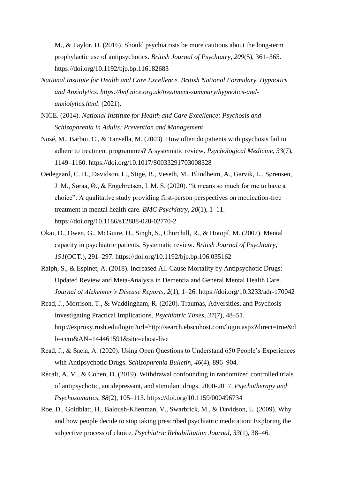M., & Taylor, D. (2016). Should psychiatrists be more cautious about the long-term prophylactic use of antipsychotics. *British Journal of Psychiatry*, *209*(5), 361–365. https://doi.org/10.1192/bjp.bp.116182683

- *National Institute for Health and Care Excellence. British National Formulary. Hypnotics and Anxiolytics. https://bnf.nice.org.uk/treatment-summary/hypnotics-andanxiolytics.html*. (2021).
- NICE. (2014). *National Institute for Health and Care Excellence: Psychosis and Schizophrenia in Adults: Prevention and Management*.
- Nosé, M., Barbui, C., & Tansella, M. (2003). How often do patients with psychosis fail to adhere to treatment programmes? A systematic review. *Psychological Medicine*, *33*(7), 1149–1160. https://doi.org/10.1017/S0033291703008328
- Oedegaard, C. H., Davidson, L., Stige, B., Veseth, M., Blindheim, A., Garvik, L., Sørensen, J. M., Søraa, Ø., & Engebretsen, I. M. S. (2020). "it means so much for me to have a choice": A qualitative study providing first-person perspectives on medication-free treatment in mental health care. *BMC Psychiatry*, *20*(1), 1–11. https://doi.org/10.1186/s12888-020-02770-2
- Okai, D., Owen, G., McGuire, H., Singh, S., Churchill, R., & Hotopf, M. (2007). Mental capacity in psychiatric patients. Systematic review. *British Journal of Psychiatry*, *191*(OCT.), 291–297. https://doi.org/10.1192/bjp.bp.106.035162
- Ralph, S., & Espinet, A. (2018). Increased All-Cause Mortality by Antipsychotic Drugs: Updated Review and Meta-Analysis in Dementia and General Mental Health Care. *Journal of Alzheimer's Disease Reports*, *2*(1), 1–26. https://doi.org/10.3233/adr-170042
- Read, J., Morrison, T., & Waddingham, R. (2020). Traumas, Adversities, and Psychosis Investigating Practical Implications. *Psychiatric Times*, *37*(7), 48–51. http://ezproxy.rush.edu/login?url=http://search.ebscohost.com/login.aspx?direct=true&d b=ccm&AN=144461591&site=ehost-live
- Read, J., & Sacia, A. (2020). Using Open Questions to Understand 650 People's Experiences with Antipsychotic Drugs. *Schizophrenia Bulletin*, *46*(4), 896–904.
- Récalt, A. M., & Cohen, D. (2019). Withdrawal confounding in randomized controlled trials of antipsychotic, antidepressant, and stimulant drugs, 2000-2017. *Psychotherapy and Psychosomatics*, *88*(2), 105–113. https://doi.org/10.1159/000496734
- Roe, D., Goldblatt, H., Baloush-Klienman, V., Swarbrick, M., & Davidson, L. (2009). Why and how people decide to stop taking prescribed psychiatric medication: Exploring the subjective process of choice. *Psychiatric Rehabilitation Journal*, *33*(1), 38–46.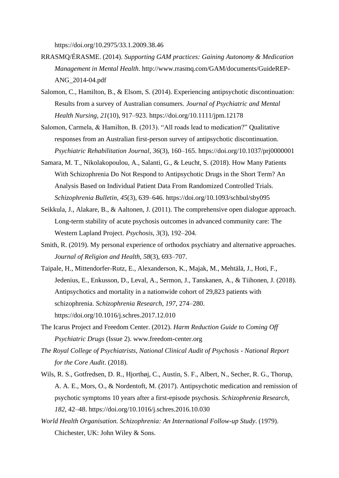https://doi.org/10.2975/33.1.2009.38.46

- RRASMQ/ÉRASME. (2014). *Supporting GAM practices: Gaining Autonomy & Medication Management in Mental Health*. http://www.rrasmq.com/GAM/documents/GuideREP-ANG\_2014-04.pdf
- Salomon, C., Hamilton, B., & Elsom, S. (2014). Experiencing antipsychotic discontinuation: Results from a survey of Australian consumers. *Journal of Psychiatric and Mental Health Nursing*, *21*(10), 917–923. https://doi.org/10.1111/jpm.12178
- Salomon, Carmela, & Hamilton, B. (2013). "All roads lead to medication?" Qualitative responses from an Australian first-person survey of antipsychotic discontinuation. *Psychiatric Rehabilitation Journal*, *36*(3), 160–165. https://doi.org/10.1037/prj0000001
- Samara, M. T., Nikolakopoulou, A., Salanti, G., & Leucht, S. (2018). How Many Patients With Schizophrenia Do Not Respond to Antipsychotic Drugs in the Short Term? An Analysis Based on Individual Patient Data From Randomized Controlled Trials. *Schizophrenia Bulletin*, *45*(3), 639–646. https://doi.org/10.1093/schbul/sby095
- Seikkula, J., Alakare, B., & Aaltonen, J. (2011). The comprehensive open dialogue approach. Long-term stability of acute psychosis outcomes in advanced community care: The Western Lapland Project. *Psychosis*, *3*(3), 192–204.
- Smith, R. (2019). My personal experience of orthodox psychiatry and alternative approaches. *Journal of Religion and Health*, *58*(3), 693–707.
- Taipale, H., Mittendorfer-Rutz, E., Alexanderson, K., Majak, M., Mehtälä, J., Hoti, F., Jedenius, E., Enkusson, D., Leval, A., Sermon, J., Tanskanen, A., & Tiihonen, J. (2018). Antipsychotics and mortality in a nationwide cohort of 29,823 patients with schizophrenia. *Schizophrenia Research*, *197*, 274–280. https://doi.org/10.1016/j.schres.2017.12.010
- The Icarus Project and Freedom Center. (2012). *Harm Reduction Guide to Coming Off Psychiatric Drugs* (Issue 2). www.freedom-center.org
- *The Royal College of Psychiatrists, National Clinical Audit of Psychosis - National Report for the Core Audit*. (2018).
- Wils, R. S., Gotfredsen, D. R., Hjorthøj, C., Austin, S. F., Albert, N., Secher, R. G., Thorup, A. A. E., Mors, O., & Nordentoft, M. (2017). Antipsychotic medication and remission of psychotic symptoms 10 years after a first-episode psychosis. *Schizophrenia Research*, *182*, 42–48. https://doi.org/10.1016/j.schres.2016.10.030
- *World Health Organisation. Schizophrenia: An International Follow-up Study*. (1979). Chichester, UK: John Wiley & Sons.